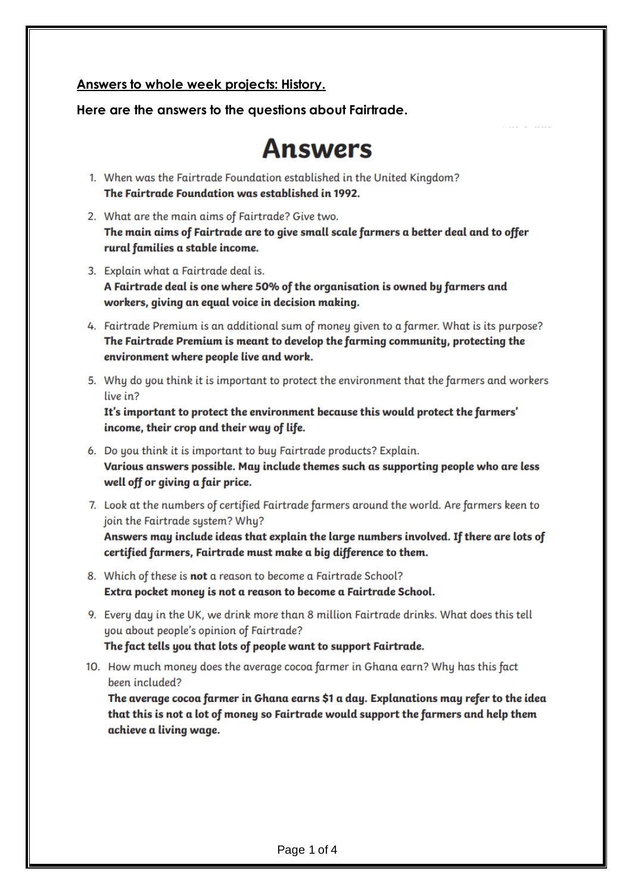### Answers to whole week projects: History.

Here are the answers to the questions about Fairtrade.

# Answers

- 1. When was the Fairtrade Foundation established in the United Kingdom? The Fairtrade Foundation was established in 1992.
- 2. What are the main aims of Fairtrade? Give two. The main aims of Fairtrade are to give small scale farmers a better deal and to offer rural families a stable income.
- 3. Explain what a Fairtrade deal is. A Fairtrade deal is one where 50% of the organisation is owned by farmers and workers, giving an equal voice in decision making.
- 4. Fairtrade Premium is an additional sum of money given to a farmer. What is its purpose? The Fairtrade Premium is meant to develop the farming community, protecting the environment where people live and work.
- 5. Why do you think it is important to protect the environment that the farmers and workers live in?

It's important to protect the environment because this would protect the farmers' income, their crop and their way of life.

- 6. Do you think it is important to buy Fairtrade products? Explain. Various answers possible. May include themes such as supporting people who are less well off or giving a fair price.
- 7. Look at the numbers of certified Fairtrade farmers around the world. Are farmers keen to join the Fairtrade system? Why?

Answers may include ideas that explain the large numbers involved. If there are lots of certified farmers, Fairtrade must make a big difference to them.

- 8. Which of these is **not** a reason to become a Fairtrade School? Extra pocket money is not a reason to become a Fairtrade School.
- 9. Every day in the UK, we drink more than 8 million Fairtrade drinks. What does this tell you about people's opinion of Fairtrade? The fact tells you that lots of people want to support Fairtrade.
- 10. How much money does the average cocoa farmer in Ghana earn? Why has this fact been included?

The average cocoa farmer in Ghana earns \$1 a day. Explanations may refer to the idea that this is not a lot of money so Fairtrade would support the farmers and help them achieve a living wage.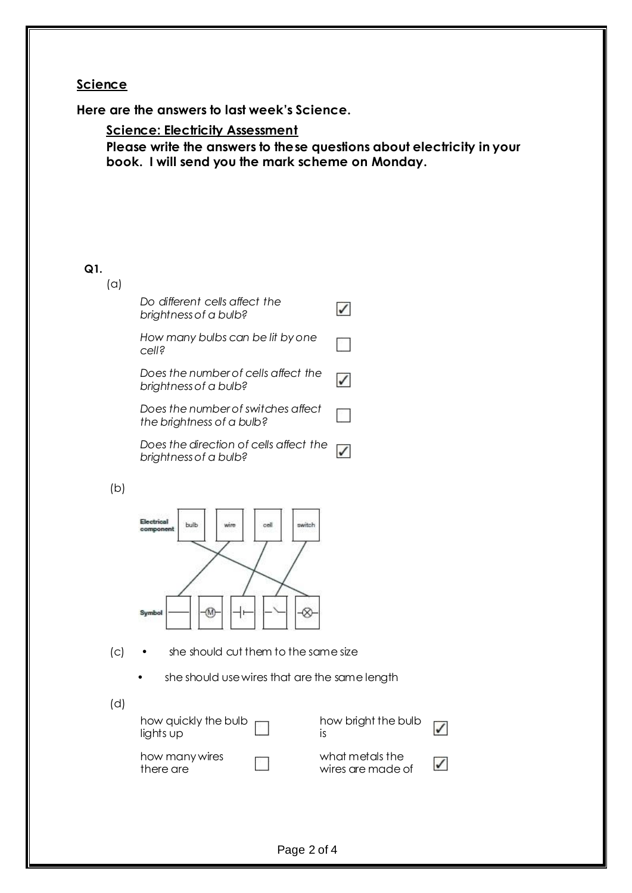## **Science**

**Here are the answers to last week's Science.**

**Science: Electricity Assessment**

**Please write the answers to these questions about electricity in your book. I will send you the mark scheme on Monday.**

### **Q1.**

(a)

|     | Do different cells affect the<br>brightness of a bulb?          |                                      |
|-----|-----------------------------------------------------------------|--------------------------------------|
|     | How many bulbs can be lit by one<br>cell?                       |                                      |
|     | Does the number of cells affect the<br>brightness of a bulb?    | √                                    |
|     | Does the number of switches affect<br>the brightness of a bulb? |                                      |
|     | Does the direction of cells affect the<br>brightness of a bulb? | $\checkmark$                         |
| (b) |                                                                 |                                      |
|     | <b>Incinoal</b><br>bulb<br>switch<br>wire<br>oel<br>amponent    |                                      |
|     | Symbol                                                          |                                      |
| (c) | she should cut them to the same size                            |                                      |
|     | she should use wires that are the same length                   |                                      |
| (d) |                                                                 |                                      |
|     | how quickly the bulb<br>lights up                               | how bright the bulb<br>is            |
|     | how many wires<br>there are                                     | what metals the<br>wires are made of |
|     |                                                                 |                                      |
|     |                                                                 |                                      |

 $\checkmark$ 

 $\checkmark$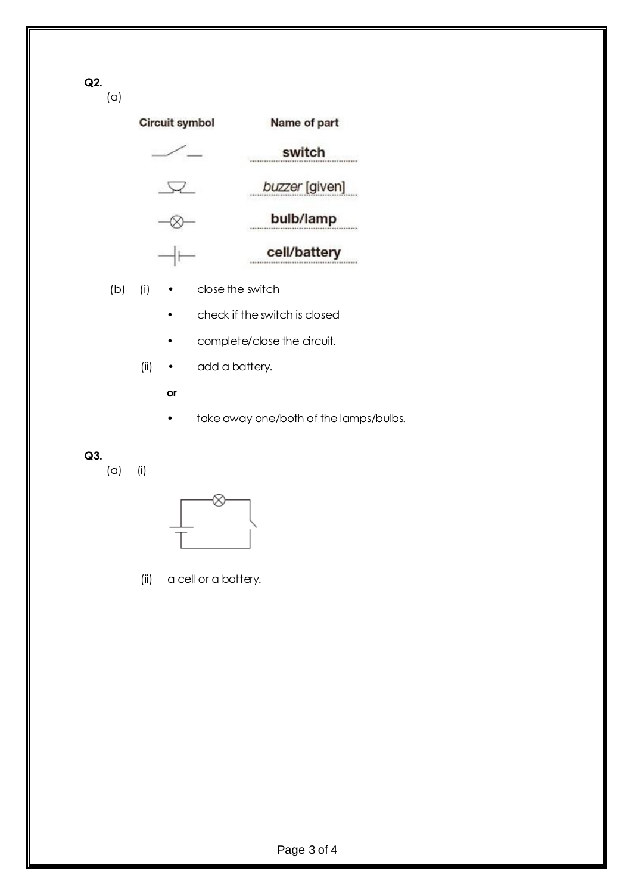**Q2.**

(a)

| <b>Circuit symbol</b> | Name of part   |  |
|-----------------------|----------------|--|
|                       | switch         |  |
|                       | buzzer [given] |  |
|                       | bulb/lamp      |  |
|                       | cell/battery   |  |

- (b) (i) close the switch
	- check if the switch is closed
	- complete/close the circuit.
	- (ii) add a battery.
		- **or**
		- take away one/both of the lamps/bulbs.

## **Q3.**

(a) (i)



(ii) a cell or a battery.